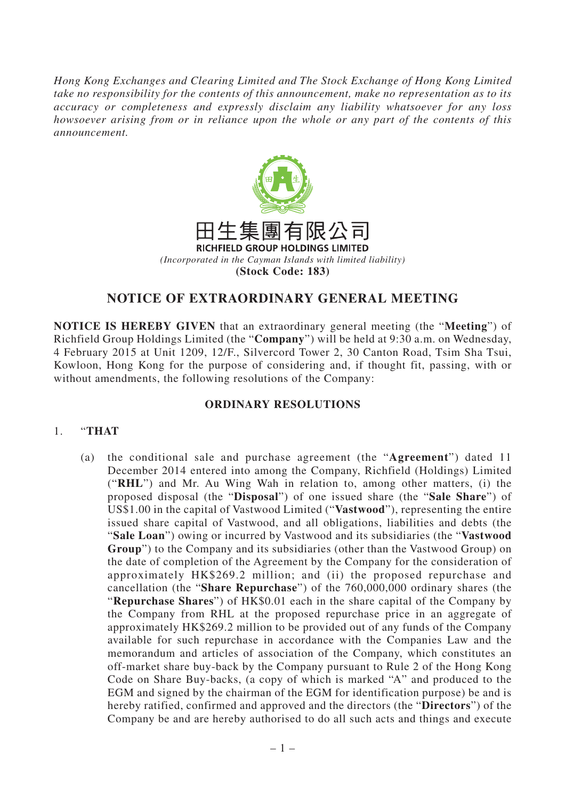*Hong Kong Exchanges and Clearing Limited and The Stock Exchange of Hong Kong Limited take no responsibility for the contents of this announcement, make no representation as to its accuracy or completeness and expressly disclaim any liability whatsoever for any loss howsoever arising from or in reliance upon the whole or any part of the contents of this announcement.*



## **NOTICE OF EXTRAORDINARY GENERAL MEETING**

**NOTICE IS HEREBY GIVEN** that an extraordinary general meeting (the "**Meeting**") of Richfield Group Holdings Limited (the "**Company**") will be held at 9:30 a.m. on Wednesday, 4 February 2015 at Unit 1209, 12/F., Silvercord Tower 2, 30 Canton Road, Tsim Sha Tsui, Kowloon, Hong Kong for the purpose of considering and, if thought fit, passing, with or without amendments, the following resolutions of the Company:

## **ORDINARY RESOLUTIONS**

## 1. "**THAT**

(a) the conditional sale and purchase agreement (the "**Agreement**") dated 11 December 2014 entered into among the Company, Richfield (Holdings) Limited ("**RHL**") and Mr. Au Wing Wah in relation to, among other matters, (i) the proposed disposal (the "**Disposal**") of one issued share (the "**Sale Share**") of US\$1.00 in the capital of Vastwood Limited ("**Vastwood**"), representing the entire issued share capital of Vastwood, and all obligations, liabilities and debts (the "**Sale Loan**") owing or incurred by Vastwood and its subsidiaries (the "**Vastwood Group**") to the Company and its subsidiaries (other than the Vastwood Group) on the date of completion of the Agreement by the Company for the consideration of approximately HK\$269.2 million; and (ii) the proposed repurchase and cancellation (the "**Share Repurchase**") of the 760,000,000 ordinary shares (the "**Repurchase Shares**") of HK\$0.01 each in the share capital of the Company by the Company from RHL at the proposed repurchase price in an aggregate of approximately HK\$269.2 million to be provided out of any funds of the Company available for such repurchase in accordance with the Companies Law and the memorandum and articles of association of the Company, which constitutes an off-market share buy-back by the Company pursuant to Rule 2 of the Hong Kong Code on Share Buy-backs, (a copy of which is marked "A" and produced to the EGM and signed by the chairman of the EGM for identification purpose) be and is hereby ratified, confirmed and approved and the directors (the "**Directors**") of the Company be and are hereby authorised to do all such acts and things and execute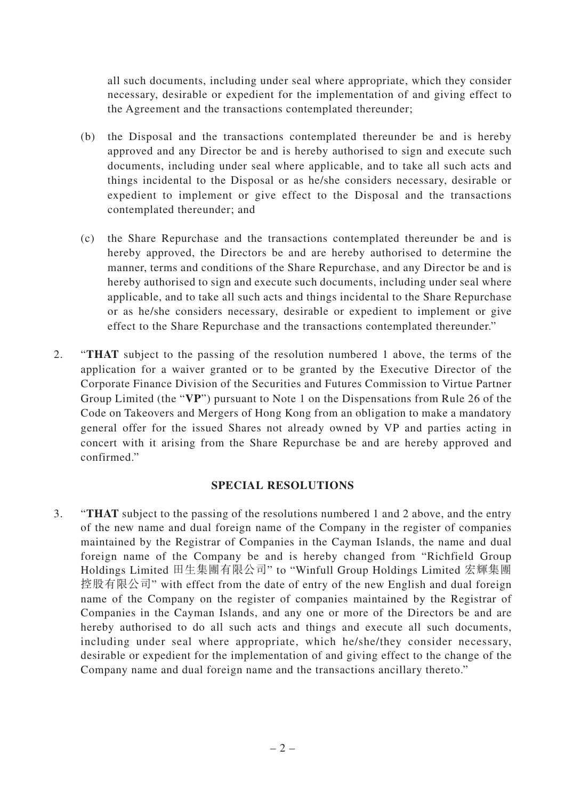all such documents, including under seal where appropriate, which they consider necessary, desirable or expedient for the implementation of and giving effect to the Agreement and the transactions contemplated thereunder;

- (b) the Disposal and the transactions contemplated thereunder be and is hereby approved and any Director be and is hereby authorised to sign and execute such documents, including under seal where applicable, and to take all such acts and things incidental to the Disposal or as he/she considers necessary, desirable or expedient to implement or give effect to the Disposal and the transactions contemplated thereunder; and
- (c) the Share Repurchase and the transactions contemplated thereunder be and is hereby approved, the Directors be and are hereby authorised to determine the manner, terms and conditions of the Share Repurchase, and any Director be and is hereby authorised to sign and execute such documents, including under seal where applicable, and to take all such acts and things incidental to the Share Repurchase or as he/she considers necessary, desirable or expedient to implement or give effect to the Share Repurchase and the transactions contemplated thereunder."
- 2. "**THAT** subject to the passing of the resolution numbered 1 above, the terms of the application for a waiver granted or to be granted by the Executive Director of the Corporate Finance Division of the Securities and Futures Commission to Virtue Partner Group Limited (the "**VP**") pursuant to Note 1 on the Dispensations from Rule 26 of the Code on Takeovers and Mergers of Hong Kong from an obligation to make a mandatory general offer for the issued Shares not already owned by VP and parties acting in concert with it arising from the Share Repurchase be and are hereby approved and confirmed."

## **SPECIAL RESOLUTIONS**

3. "**THAT** subject to the passing of the resolutions numbered 1 and 2 above, and the entry of the new name and dual foreign name of the Company in the register of companies maintained by the Registrar of Companies in the Cayman Islands, the name and dual foreign name of the Company be and is hereby changed from "Richfield Group Holdings Limited 田生集團有限公司" to "Winfull Group Holdings Limited 宏輝集團 控股有限公司" with effect from the date of entry of the new English and dual foreign name of the Company on the register of companies maintained by the Registrar of Companies in the Cayman Islands, and any one or more of the Directors be and are hereby authorised to do all such acts and things and execute all such documents, including under seal where appropriate, which he/she/they consider necessary, desirable or expedient for the implementation of and giving effect to the change of the Company name and dual foreign name and the transactions ancillary thereto."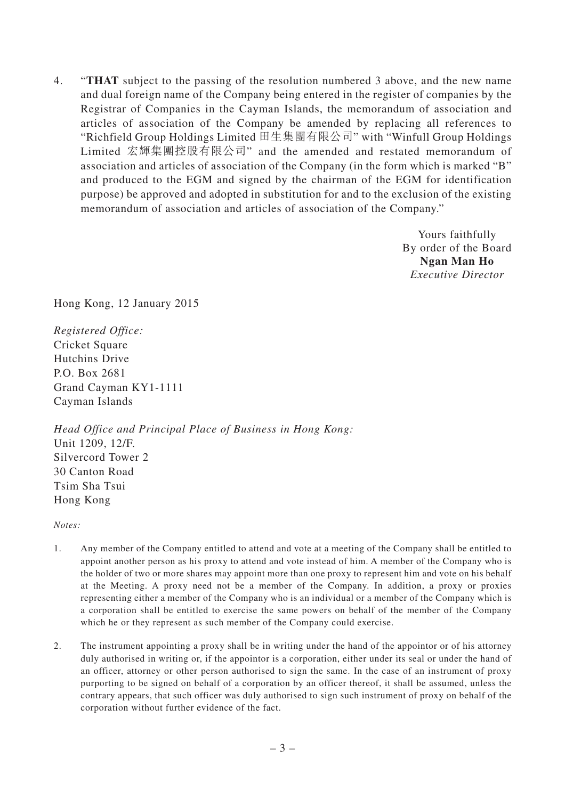4. "**THAT** subject to the passing of the resolution numbered 3 above, and the new name and dual foreign name of the Company being entered in the register of companies by the Registrar of Companies in the Cayman Islands, the memorandum of association and articles of association of the Company be amended by replacing all references to "Richfield Group Holdings Limited 田生集團有限公司" with "Winfull Group Holdings Limited 宏輝集團控股有限公司" and the amended and restated memorandum of association and articles of association of the Company (in the form which is marked "B" and produced to the EGM and signed by the chairman of the EGM for identification purpose) be approved and adopted in substitution for and to the exclusion of the existing memorandum of association and articles of association of the Company."

> Yours faithfully By order of the Board **Ngan Man Ho** *Executive Director*

Hong Kong, 12 January 2015

*Registered Office:* Cricket Square Hutchins Drive P.O. Box 2681 Grand Cayman KY1-1111 Cayman Islands

*Head Office and Principal Place of Business in Hong Kong:* Unit 1209, 12/F. Silvercord Tower 2 30 Canton Road Tsim Sha Tsui Hong Kong

*Notes:*

- 1. Any member of the Company entitled to attend and vote at a meeting of the Company shall be entitled to appoint another person as his proxy to attend and vote instead of him. A member of the Company who is the holder of two or more shares may appoint more than one proxy to represent him and vote on his behalf at the Meeting. A proxy need not be a member of the Company. In addition, a proxy or proxies representing either a member of the Company who is an individual or a member of the Company which is a corporation shall be entitled to exercise the same powers on behalf of the member of the Company which he or they represent as such member of the Company could exercise.
- 2. The instrument appointing a proxy shall be in writing under the hand of the appointor or of his attorney duly authorised in writing or, if the appointor is a corporation, either under its seal or under the hand of an officer, attorney or other person authorised to sign the same. In the case of an instrument of proxy purporting to be signed on behalf of a corporation by an officer thereof, it shall be assumed, unless the contrary appears, that such officer was duly authorised to sign such instrument of proxy on behalf of the corporation without further evidence of the fact.